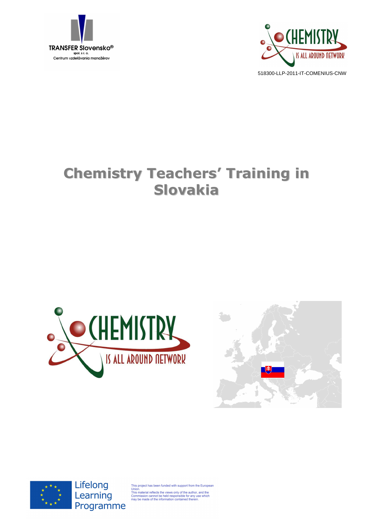



# **Chemistry Teachers' Training in Slovakia**







Lifelong Learning Programme

This project has been funded with support from the European<br>Union.<br>This material reflects the views only of the author, and the<br>This material reflects the views only of the author, and the<br>Commission cannot be held respons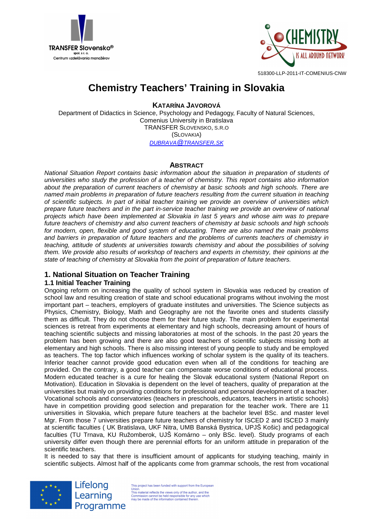



# **Chemistry Teachers' Training in Slovakia**

**KATARÍNA JAVOROVÁ**

Department of Didactics in Science, Psychology and Pedagogy, Faculty of Natural Sciences, Comenius University in Bratislava TRANSFER SLOVENSKO, S.R.O (SLOVAKIA) DUBRAVA@TRANSFER.SK

# **ABSTRACT**

National Situation Report contains basic information about the situation in preparation of students of universities who study the profession of a teacher of chemistry. This report contains also information about the preparation of current teachers of chemistry at basic schools and high schools. There are named main problems in preparation of future teachers resulting from the current situation in teaching of scientific subjects. In part of initial teacher training we provide an overview of universities which prepare future teachers and in the part in-service teacher training we provide an overview of national projects which have been implemented at Slovakia in last 5 years and whose aim was to prepare future teachers of chemistry and also current teachers of chemistry at basic schools and high schools for modern, open, flexible and good system of educating. There are also named the main problems and barriers in preparation of future teachers and the problems of currents teachers of chemistry in teaching, attitude of students at universities towards chemistry and about the possibilities of solving them. We provide also results of workshop of teachers and experts in chemistry, their opinions at the state of teaching of chemistry at Slovakia from the point of preparation of future teachers.

# **1. National Situation on Teacher Training**

# **1.1 Initial Teacher Training**

Ongoing reform on increasing the quality of school system in Slovakia was reduced by creation of school law and resulting creation of state and school educational programs without involving the most important part – teachers, employers of graduate institutes and universities. The Science subjects as Physics, Chemistry, Biology, Math and Geography are not the favorite ones and students classify them as difficult. They do not choose them for their future study. The main problem for experimental sciences is retreat from experiments at elementary and high schools, decreasing amount of hours of teaching scientific subjects and missing laboratories at most of the schools. In the past 20 years the problem has been growing and there are also good teachers of scientific subjects missing both at elementary and high schools. There is also missing interest of young people to study and be employed as teachers. The top factor which influences working of scholar system is the quality of its teachers. Inferior teacher cannot provide good education even when all of the conditions for teaching are provided. On the contrary, a good teacher can compensate worse conditions of educational process. Modern educated teacher is a cure for healing the Slovak educational system (National Report on Motivation). Education in Slovakia is dependent on the level of teachers, quality of preparation at the universities but mainly on providing conditions for professional and personal development of a teacher. Vocational schools and conservatories (teachers in preschools, educators, teachers in artistic schools) have in competition providing good selection and preparation for the teacher work. There are 11 universities in Slovakia, which prepare future teachers at the bachelor level BSc. and master level Mgr. From those 7 universities prepare future teachers of chemistry for ISCED 2 and ISCED 3 mainly at scientific faculties ( UK Bratislava, UKF Nitra, UMB Banská Bystrica, UPJŠ Košic) and pedagogical faculties (TU Trnava, KU Ružomberok, UJŠ Komárno – only BSc. level). Study programs of each university differ even though there are perennial efforts for an uniform attitude in preparation of the scientific teachers.

It is needed to say that there is insufficient amount of applicants for studying teaching, mainly in scientific subjects. Almost half of the applicants come from grammar schools, the rest from vocational



Lifelong Learning Programme

This project has been funded with support from the European This project has been funded with support from the Europe<br>Union.<br>This material reflects the views only of the author, and the<br>Commission cannot be held responsible for any use which<br>may be made of the information contained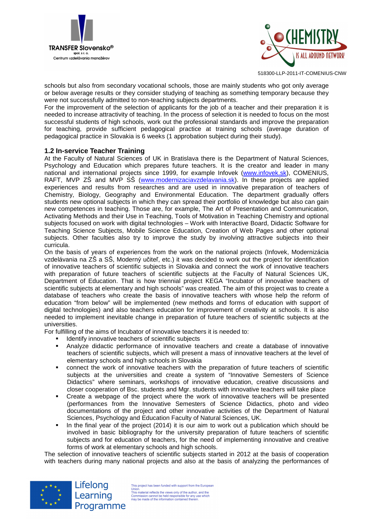



schools but also from secondary vocational schools, those are mainly students who got only average or below average results or they consider studying of teaching as something temporary because they were not successfully admitted to non-teaching subjects departments.

For the improvement of the selection of applicants for the job of a teacher and their preparation it is needed to increase attractivity of teaching. In the process of selection it is needed to focus on the most successful students of high schools, work out the professional standards and improve the preparation for teaching, provide sufficient pedagogical practice at training schools (average duration of pedagogical practice in Slovakia is 6 weeks (1 approbation subject during their study).

#### **1.2 In-service Teacher Training**

At the Faculty of Natural Sciences of UK in Bratislava there is the Department of Natural Sciences, Psychology and Education which prepares future teachers. It is the creator and leader in many national and international projects since 1999, for example Infovek (www.infovek.sk), COMENIUS, RAFT, MVP ZŠ and MVP SŠ (www.modernizaciavzdelavania.sk). In these projects are applied experiences and results from researches and are used in innovative preparation of teachers of Chemistry, Biology, Geography and Environmental Education. The department gradually offers students new optional subjects in which they can spread their portfolio of knowledge but also can gain new competences in teaching. Those are, for example, The Art of Presentation and Communication, Activating Methods and their Use in Teaching, Tools of Motivation in Teaching Chemistry and optional subjects focused on work with digital technologies – Work with Interactive Board, Didactic Software for Teaching Science Subjects, Mobile Science Education, Creation of Web Pages and other optional subjects. Other faculties also try to improve the study by involving attractive subjects into their curricula.

On the basis of years of experiences from the work on the national projects (Infovek, Modernizácia vzdelávania na ZŠ a SŠ, Moderný učiteľ, etc.) it was decided to work out the project for identification of innovative teachers of scientific subjects in Slovakia and connect the work of innovative teachers with preparation of future teachers of scientific subjects at the Faculty of Natural Sciences UK, Department of Education. That is how triennial project KEGA "Incubator of innovative teachers of scientific subjects at elementary and high schools" was created. The aim of this project was to create a database of teachers who create the basis of innovative teachers with whose help the reform of education "from below" will be implemented (new methods and forms of education with support of digital technologies) and also teachers education for improvement of creativity at schools. It is also needed to implement inevitable change in preparation of future teachers of scientific subjects at the universities.

For fulfilling of the aims of Incubator of innovative teachers it is needed to:

- **IDENTIFY INTERS IDENTIFY** innovative teachers of scientific subjects
- Analyze didactic performance of innovative teachers and create a database of innovative teachers of scientific subjects, which will present a mass of innovative teachers at the level of elementary schools and high schools in Slovakia
- connect the work of innovative teachers with the preparation of future teachers of scientific subjects at the universities and create a system of "Innovative Semesters of Science Didactics" where seminars, workshops of innovative education, creative discussions and closer cooperation of Bsc. students and Mgr. students with innovative teachers will take place
- Create a webpage of the project where the work of innovative teachers will be presented (performances from the Innovative Semesters of Science Didactics, photo and video documentations of the project and other innovative activities of the Department of Natural Sciences, Psychology and Education Faculty of Natural Sciences, UK.
- In the final year of the project (2014) it is our aim to work out a publication which should be involved in basic bibliography for the university preparation of future teachers of scientific subjects and for education of teachers, for the need of implementing innovative and creative forms of work at elementary schools and high schools.

The selection of innovative teachers of scientific subjects started in 2012 at the basis of cooperation with teachers during many national projects and also at the basis of analyzing the performances of



Lifelong Learning Programme

This project has been funded with support from the European This project has been funded with support from the Europy<br>Union.<br>This material reflects the views only of the author, and the<br>Commission cannot be held responsible for any use which<br>may be made of the information contained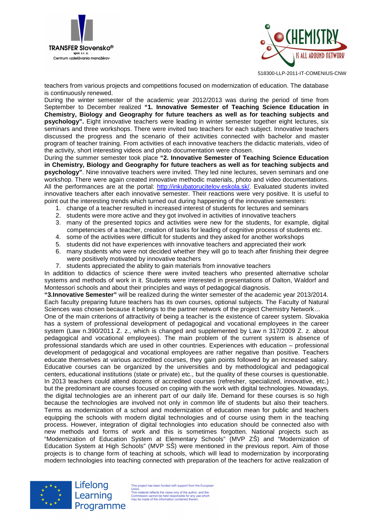



teachers from various projects and competitions focused on modernization of education. The database is continuously renewed.

During the winter semester of the academic year 2012/2013 was during the period of time from September to December realized **"1. Innovative Semester of Teaching Science Education in Chemistry, Biology and Geography for future teachers as well as for teaching subjects and psychology".** Eight innovative teachers were leading in winter semester together eight lectures, six seminars and three workshops. There were invited two teachers for each subject. Innovative teachers discussed the progress and the scenario of their activities connected with bachelor and master program of teacher training. From activities of each innovative teachers the didactic materials, video of the activity, short interesting videos and photo documentation were chosen.

During the summer semester took place **"2. Innovative Semester of Teaching Science Education in Chemistry, Biology and Geography for future teachers as well as for teaching subjects and psychology"**. Nine innovative teachers were invited. They led nine lectures, seven seminars and one workshop. There were again created innovative methodic materials, photo and video documentations. All the performances are at the portal: http://inkubatorucitelov.eskola.sk/. Evaluated students invited innovative teachers after each innovative semester. Their reactions were very positive. It is useful to point out the interesting trends which turned out during happening of the innovative semesters:

- 1. change of a teacher resulted in increased interest of students for lectures and seminars
- 2. students were more active and they got involved in activities of innovative teachers
- 3. many of the presented topics and activities were new for the students, for example, digital competencies of a teacher, creation of tasks for leading of cognitive process of students etc.
- 4. some of the activities were difficult for students and they asked for another workshops
- 5. students did not have experiences with innovative teachers and appreciated their work
- 6. many students who were not decided whether they will go to teach after finishing their degree were positively motivated by innovative teachers
- 7. students appreciated the ability to gain materials from innovative teachers

In addition to didactics of science there were invited teachers who presented alternative scholar systems and methods of work in it. Students were interested in presentations of Dalton, Waldorf and Montessori schools and about their principles and ways of pedagogical diagnosis.

**"3.Innovative Semester"** will be realized during the winter semester of the academic year 2013/2014. Each faculty preparing future teachers has its own courses, optional subjects. The Faculty of Natural Sciences was chosen because it belongs to the partner network of the project Chemistry Network…

One of the main criterions of attractivity of being a teacher is the existence of career system. Slovakia has a system of professional development of pedagogical and vocational employees in the career system (Law n.390/2011 Z. z., which is changed and supplemented by Law n 317/2009 Z. z. about pedagogical and vocational employees). The main problem of the current system is absence of professional standards which are used in other countries. Experiences with education – professional development of pedagogical and vocational employees are rather negative than positive. Teachers educate themselves at various accredited courses, they gain points followed by an increased salary. Educative courses can be organized by the universities and by methodological and pedagogical centers, educational institutions (state or private) etc., but the quality of these courses is questionable. In 2013 teachers could attend dozens of accredited courses (refresher, specialized, innovative, etc.) but the predominant are courses focused on coping with the work with digital technologies. Nowadays, the digital technologies are an inherent part of our daily life. Demand for these courses is so high because the technologies are involved not only in common life of students but also their teachers. Terms as modernization of a school and modernization of education mean for public and teachers equipping the schools with modern digital technologies and of course using them in the teaching process. However, integration of digital technologies into education should be connected also with new methods and forms of work and this is sometimes forgotten. National projects such as "Modernization of Education System at Elementary Schools" (MVP ZŠ) and "Modernization of Education System at High Schools" (MVP SŠ) were mentioned in the previous report. Aim of those projects is to change form of teaching at schools, which will lead to modernization by incorporating modern technologies into teaching connected with preparation of the teachers for active realization of



Lifelong Learning Programme

This project has been funded with support from the European This project has been funded with support from the Europy<br>Union.<br>This material reflects the views only of the author, and the<br>Commission cannot be held responsible for any use which<br>may be made of the information contained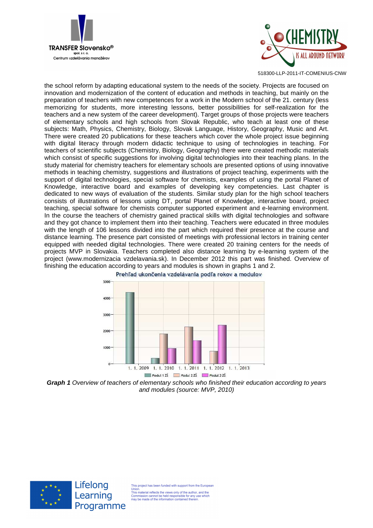



the school reform by adapting educational system to the needs of the society. Projects are focused on innovation and modernization of the content of education and methods in teaching, but mainly on the preparation of teachers with new competences for a work in the Modern school of the 21. century (less memorizing for students, more interesting lessons, better possibilities for self-realization for the teachers and a new system of the career development). Target groups of those projects were teachers of elementary schools and high schools from Slovak Republic, who teach at least one of these subjects: Math, Physics, Chemistry, Biology, Slovak Language, History, Geography, Music and Art. There were created 20 publications for these teachers which cover the whole project issue beginning with digital literacy through modern didactic technique to using of technologies in teaching. For teachers of scientific subjects (Chemistry, Biology, Geography) there were created methodic materials which consist of specific suggestions for involving digital technologies into their teaching plans. In the study material for chemistry teachers for elementary schools are presented options of using innovative methods in teaching chemistry, suggestions and illustrations of project teaching, experiments with the support of digital technologies, special software for chemists, examples of using the portal Planet of Knowledge, interactive board and examples of developing key competencies. Last chapter is dedicated to new ways of evaluation of the students. Similar study plan for the high school teachers consists of illustrations of lessons using DT, portal Planet of Knowledge, interactive board, project teaching, special software for chemists computer supported experiment and e-learning environment. In the course the teachers of chemistry gained practical skills with digital technologies and software and they got chance to implement them into their teaching. Teachers were educated in three modules with the length of 106 lessons divided into the part which required their presence at the course and distance learning. The presence part consisted of meetings with professional lectors in training center equipped with needed digital technologies. There were created 20 training centers for the needs of projects MVP in Slovakia. Teachers completed also distance learning by e-learning system of the project (www.modernizacia vzdelavania.sk). In December 2012 this part was finished. Overview of finishing the education according to years and modules is shown in graphs 1 and 2.







Lifelong Learning Programme

This project has been funded with support from the Europear

Union.<br>This material reflects the views only of the author, and the<br>Commission cannot be held responsible for any use whic<br>may be made of the information contained therein.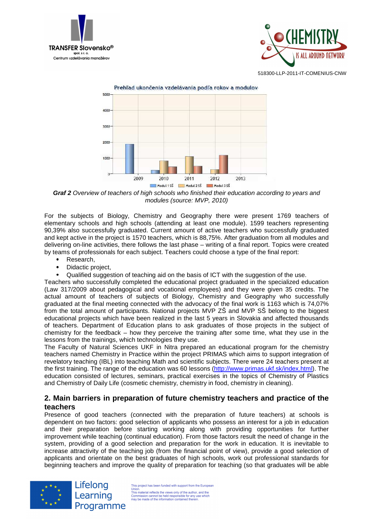





**Graf 2** Overview of teachers of high schools who finished their education according to years and modules (source: MVP, 2010)

For the subjects of Biology, Chemistry and Geography there were present 1769 teachers of elementary schools and high schools (attending at least one module). 1599 teachers representing 90,39% also successfully graduated. Current amount of active teachers who successfully graduated and kept active in the project is 1570 teachers, which is 88,75%. After graduation from all modules and delivering on-line activities, there follows the last phase – writing of a final report. Topics were created by teams of professionals for each subject. Teachers could choose a type of the final report:

- Research.
- Didactic project,
- Qualified suggestion of teaching aid on the basis of ICT with the suggestion of the use.

Teachers who successfully completed the educational project graduated in the specialized education (Law 317/2009 about pedagogical and vocational employees) and they were given 35 credits. The actual amount of teachers of subjects of Biology, Chemistry and Geography who successfully graduated at the final meeting connected with the advocacy of the final work is 1163 which is 74,07% from the total amount of participants. National projects MVP ZŠ and MVP SŠ belong to the biggest educational projects which have been realized in the last 5 years in Slovakia and affected thousands of teachers. Department of Education plans to ask graduates of those projects in the subject of chemistry for the feedback – how they perceive the training after some time, what they use in the lessons from the trainings, which technologies they use.

The Faculty of Natural Sciences UKF in Nitra prepared an educational program for the chemistry teachers named Chemistry in Practice within the project PRIMAS which aims to support integration of revelatory teaching (IBL) into teaching Math and scientific subjects. There were 24 teachers present at the first training. The range of the education was 60 lessons (http://www.primas.ukf.sk/index.html). The education consisted of lectures, seminars, practical exercises in the topics of Chemistry of Plastics and Chemistry of Daily Life (cosmetic chemistry, chemistry in food, chemistry in cleaning).

# **2. Main barriers in preparation of future chemistry teachers and practice of the teachers**

Presence of good teachers (connected with the preparation of future teachers) at schools is dependent on two factors: good selection of applicants who possess an interest for a job in education and their preparation before starting working along with providing opportunities for further improvement while teaching (continual education). From those factors result the need of change in the system, providing of a good selection and preparation for the work in education. It is inevitable to increase attractivity of the teaching job (from the financial point of view), provide a good selection of applicants and orientate on the best graduates of high schools, work out professional standards for beginning teachers and improve the quality of preparation for teaching (so that graduates will be able



Lifelong Learning Programme

This project has been funded with support from the European This project has been funded with support from the Europe<br>Union.<br>This material reflects the views only of the author, and the<br>Commission cannot be held responsible for any use which<br>may be made of the information contained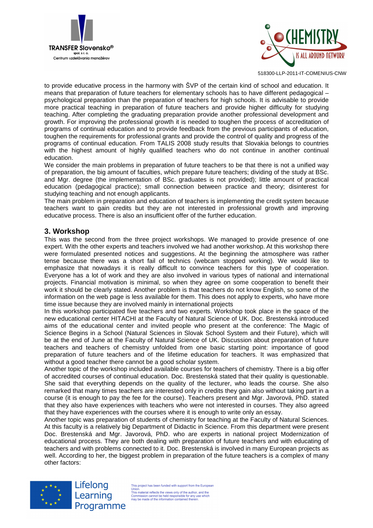



to provide educative process in the harmony with ŠVP of the certain kind of school and education. It means that preparation of future teachers for elementary schools has to have different pedagogical – psychological preparation than the preparation of teachers for high schools. It is advisable to provide more practical teaching in preparation of future teachers and provide higher difficulty for studying teaching. After completing the graduating preparation provide another professional development and growth. For improving the professional growth it is needed to toughen the process of accreditation of programs of continual education and to provide feedback from the previous participants of education, toughen the requirements for professional grants and provide the control of quality and progress of the programs of continual education. From TALIS 2008 study results that Slovakia belongs to countries with the highest amount of highly qualified teachers who do not continue in another continual education.

We consider the main problems in preparation of future teachers to be that there is not a unified way of preparation, the big amount of faculties, which prepare future teachers; dividing of the study at BSc. and Mgr. degree (the implementation of BSc. graduates is not provided); little amount of practical education (pedagogical practice); small connection between practice and theory; disinterest for studying teaching and not enough applicants.

The main problem in preparation and education of teachers is implementing the credit system because teachers want to gain credits but they are not interested in professional growth and improving educative process. There is also an insufficient offer of the further education.

# **3. Workshop**

This was the second from the three project workshops. We managed to provide presence of one expert. With the other experts and teachers involved we had another workshop. At this workshop there were formulated presented notices and suggestions. At the beginning the atmosphere was rather tense because there was a short fail of technics (webcam stopped working). We would like to emphasize that nowadays it is really difficult to convince teachers for this type of cooperation. Everyone has a lot of work and they are also involved in various types of national and international projects. Financial motivation is minimal, so when they agree on some cooperation to benefit their work it should be clearly stated. Another problem is that teachers do not know English, so some of the information on the web page is less available for them. This does not apply to experts, who have more time issue because they are involved mainly in international projects

In this workshop participated five teachers and two experts. Workshop took place in the space of the new educational center HITACHI at the Faculty of Natural Science of UK. Doc. Brestenská introduced aims of the educational center and invited people who present at the conference: The Magic of Science Begins in a School (Natural Sciences in Slovak School System and their Future), which will be at the end of June at the Faculty of Natural Science of UK. Discussion about preparation of future teachers and teachers of chemistry unfolded from one basic starting point: importance of good preparation of future teachers and of the lifetime education for teachers. It was emphasized that without a good teacher there cannot be a good scholar system.

Another topic of the workshop included available courses for teachers of chemistry. There is a big offer of accredited courses of continual education. Doc. Brestenská stated that their quality is questionable. She said that everything depends on the quality of the lecturer, who leads the course. She also remarked that many times teachers are interested only in credits they gain also without taking part in a course (it is enough to pay the fee for the course). Teachers present and Mgr. Javorová, PhD. stated that they also have experiences with teachers who were not interested in courses. They also agreed that they have experiences with the courses where it is enough to write only an essay.

Another topic was preparation of students of chemistry for teaching at the Faculty of Natural Sciences. At this faculty is a relatively big Department of Didactic in Science. From this department were present Doc. Brestenská and Mgr. Javorová, PhD. who are experts in national project Modernization of educational process. They are both dealing with preparation of future teachers and with educating of teachers and with problems connected to it. Doc. Brestenská is involved in many European projects as well. According to her, the biggest problem in preparation of the future teachers is a complex of many other factors:



Lifelong Learning Programme

This project has been funded with support from the European This project has been funded with support from the Europ<br>Union.<br>This material reflects the views only of the author, and the<br>Commission cannot be held responsible for any use which<br>may be made of the information contained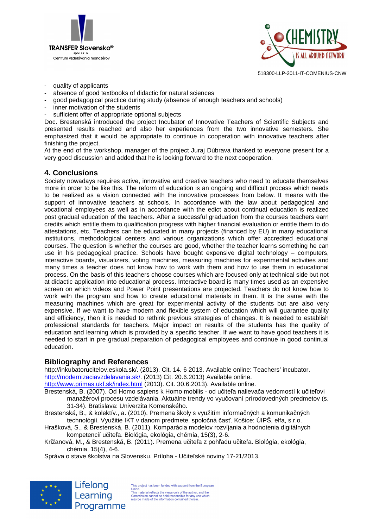



- quality of applicants
- absence of good textbooks of didactic for natural sciences
- good pedagogical practice during study (absence of enough teachers and schools)
- inner motivation of the students
- sufficient offer of appropriate optional subjects

Doc. Brestenská introduced the project Incubator of Innovative Teachers of Scientific Subjects and presented results reached and also her experiences from the two innovative semesters. She emphasized that it would be appropriate to continue in cooperation with innovative teachers after finishing the project.

At the end of the workshop, manager of the project Juraj Dúbrava thanked to everyone present for a very good discussion and added that he is looking forward to the next cooperation.

# **4. Conclusions**

Society nowadays requires active, innovative and creative teachers who need to educate themselves more in order to be like this. The reform of education is an ongoing and difficult process which needs to be realized as a vision connected with the innovative processes from below. It means with the support of innovative teachers at schools. In accordance with the law about pedagogical and vocational employees as well as in accordance with the edict about continual education is realized post gradual education of the teachers. After a successful graduation from the courses teachers earn credits which entitle them to qualification progress with higher financial evaluation or entitle them to do attestations, etc. Teachers can be educated in many projects (financed by EU) in many educational institutions, methodological centers and various organizations which offer accredited educational courses. The question is whether the courses are good, whether the teacher learns something he can use in his pedagogical practice. Schools have bought expensive digital technology – computers, interactive boards, visualizers, voting machines, measuring machines for experimental activities and many times a teacher does not know how to work with them and how to use them in educational process. On the basis of this teachers choose courses which are focused only at technical side but not at didactic application into educational process. Interactive board is many times used as an expensive screen on which videos and Power Point presentations are projected. Teachers do not know how to work with the program and how to create educational materials in them. It is the same with the measuring machines which are great for experimental activity of the students but are also very expensive. If we want to have modern and flexible system of education which will guarantee quality and efficiency, then it is needed to rethink previous strategies of changes. It is needed to establish professional standards for teachers. Major impact on results of the students has the quality of education and learning which is provided by a specific teacher. If we want to have good teachers it is needed to start in pre gradual preparation of pedagogical employees and continue in good continual education.

# **Bibliography and References**

http://inkubatorucitelov.eskola.sk/. (2013). Cit. 14. 6 2013. Available online: Teachers' incubator. http://modernizaciavzdelavania.sk/. (2013) Cit. 20.6.2013) Available online.

http://www.primas.ukf.sk/index.html (2013). Cit. 30.6.2013). Available online.

Brestenská, B. (2007). Od Homo sapiens k Homo mobilis - od učiteľa nalievača vedomostí k učiteľovi manažérovi procesu vzdelávania. Aktuálne trendy vo vyučovaní prírodovedných predmetov (s. 31-34). Bratislava: Univerzita Komenského.

Brestenská, B., & kolektív., a. (2010). Premena školy s využitím informačných a komunikačných technológií. Využitie IKT v danom predmete, spoločná časť. Košice: ÚIPŠ, elfa, s.r.o.

Hrašková, S., & Brestenská, B. (2011). Komparácia modelov rozvíjania a hodnotenia digitálnych kompetencií učiteľa. Biológia, ekológia, chémia, 15(3), 2-6.

Križanová, M., & Brestenská, B. (2011). Premena učiteľa z pohľadu učiteľa. Biológia, ekológia, chémia, 15(4), 4-6.

Správa o stave školstva na Slovensku. Príloha - Učiteľské noviny 17-21/2013.



Lifelong Learning Programme

This project has been funded with support from the European This project has been funded with support from the Europe<br>This material reflects the views only of the author, and the<br>Commission cannot be held responsible for any use which<br>may be made of the information contained therei